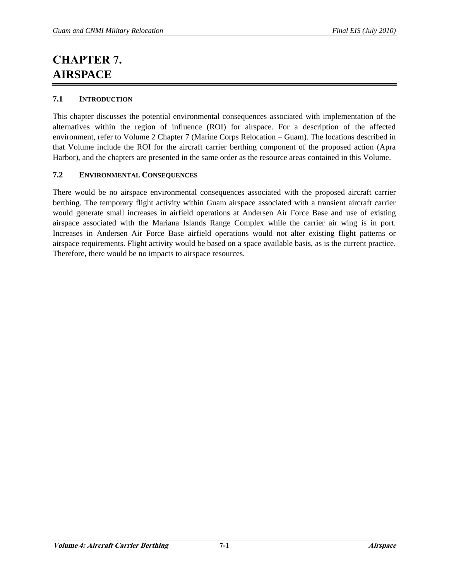## **CHAPTER 7. AIRSPACE**

## **7.1 INTRODUCTION**

This chapter discusses the potential environmental consequences associated with implementation of the alternatives within the region of influence (ROI) for airspace. For a description of the affected environment, refer to Volume 2 Chapter 7 (Marine Corps Relocation – Guam). The locations described in that Volume include the ROI for the aircraft carrier berthing component of the proposed action (Apra Harbor), and the chapters are presented in the same order as the resource areas contained in this Volume.

## **7.2 ENVIRONMENTAL CONSEQUENCES**

There would be no airspace environmental consequences associated with the proposed aircraft carrier berthing. The temporary flight activity within Guam airspace associated with a transient aircraft carrier would generate small increases in airfield operations at Andersen Air Force Base and use of existing airspace associated with the Mariana Islands Range Complex while the carrier air wing is in port. Increases in Andersen Air Force Base airfield operations would not alter existing flight patterns or airspace requirements. Flight activity would be based on a space available basis, as is the current practice. Therefore, there would be no impacts to airspace resources.